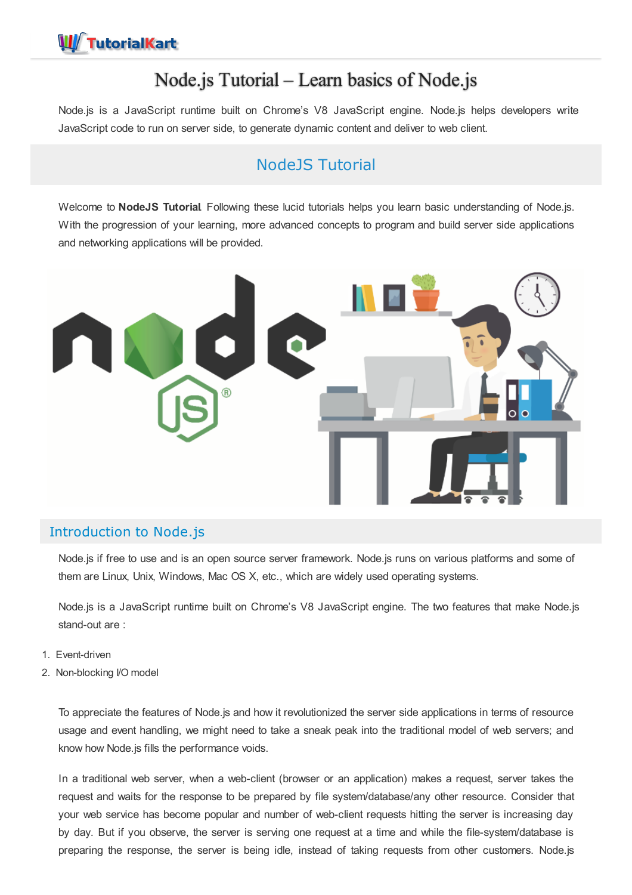# Node.js Tutorial – Learn basics of Node.js

Node.js is a JavaScript runtime built on Chrome's V8 JavaScript engine. Node.js helps developers write JavaScript code to run on server side, to generate dynamic content and deliver to web client.

# NodeJS Tutorial

Welcome to **NodeJS Tutorial**. Following these lucid tutorials helps you learn basic understanding of Node.js. With the progression of your learning, more advanced concepts to program and build server side applications and networking applications will be provided.



# Introduction to Node.js

Node.js if free to use and is an open source server framework. Node.js runs on various platforms and some of them are Linux, Unix, Windows, Mac OS X, etc., which are widely used operating systems.

Node.js is a JavaScript runtime built on Chrome's V8 JavaScript engine. The two features that make Node.js stand-out are :

- 1. Event-driven
- 2. Non-blocking I/O model

To appreciate the features of Node.js and how it revolutionized the server side applications in terms of resource usage and event handling, we might need to take a sneak peak into the traditional model of web servers; and know how Node.js fills the performance voids.

In a traditional web server, when a web-client (browser or an application) makes a request, server takes the request and waits for the response to be prepared by file system/database/any other resource. Consider that your web service has become popular and number of web-client requests hitting the server is increasing day by day. But if you observe, the server is serving one request at a time and while the file-system/database is preparing the response, the server is being idle, instead of taking requests from other customers. Node.js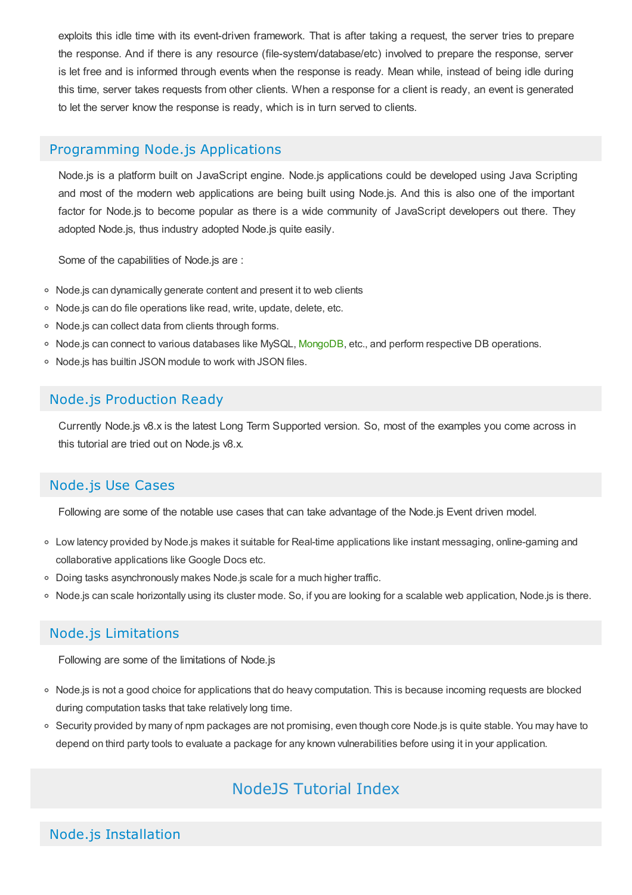exploits this idle time with its event-driven framework. That is after taking a request, the server tries to prepare the response. And if there is any resource (file-system/database/etc) involved to prepare the response, server is let free and is informed through events when the response is ready. Mean while, instead of being idle during this time, server takes requests from other clients. When a response for a client is ready, an event is generated to let the server know the response is ready, which is in turn served to clients.

### Programming Node.js Applications

Node.js is a platform built on JavaScript engine. Node.js applications could be developed using Java Scripting and most of the modern web applications are being built using Node.js. And this is also one of the important factor for Node.js to become popular as there is a wide community of JavaScript developers out there. They adopted Node.js, thus industry adopted Node.js quite easily.

Some of the capabilities of Node.js are :

- Node.js can dynamically generate content and present it to web clients
- o Node.js can do file operations like read, write, update, delete, etc.
- Node.js can collect data from clients through forms.
- o Node.js can connect to various databases like MySQL, [MongoDB](file:///mongodb/mongodb-tutorial/), etc., and perform respective DB operations.
- Node.is has builtin JSON module to work with JSON files.

## Node.js Production Ready

Currently Node.js v8.x is the latest Long Term Supported version. So, most of the examples you come across in this tutorial are tried out on Node.js v8.x.

# Node.js Use Cases

Following are some of the notable use cases that can take advantage of the Node.js Event driven model.

- Low latency provided by Node.js makes it suitable for Real-time applications like instant messaging, online-gaming and collaborative applications like Google Docs etc.
- Doing tasks asynchronously makes Node.js scale for a much higher traffic.
- Node.js can scale horizontally using its cluster mode. So, if you are looking for a scalable web application, Node.js is there.

## Node.js Limitations

Following are some of the limitations of Node.js

- Node.js is not a good choice for applications that do heavy computation. This is because incoming requests are blocked during computation tasks that take relatively long time.
- o Security provided by many of npm packages are not promising, even though core Node.js is quite stable. You may have to depend on third party tools to evaluate a package for any known vulnerabilities before using it in your application.

# NodeJS Tutorial Index

# Node.js Installation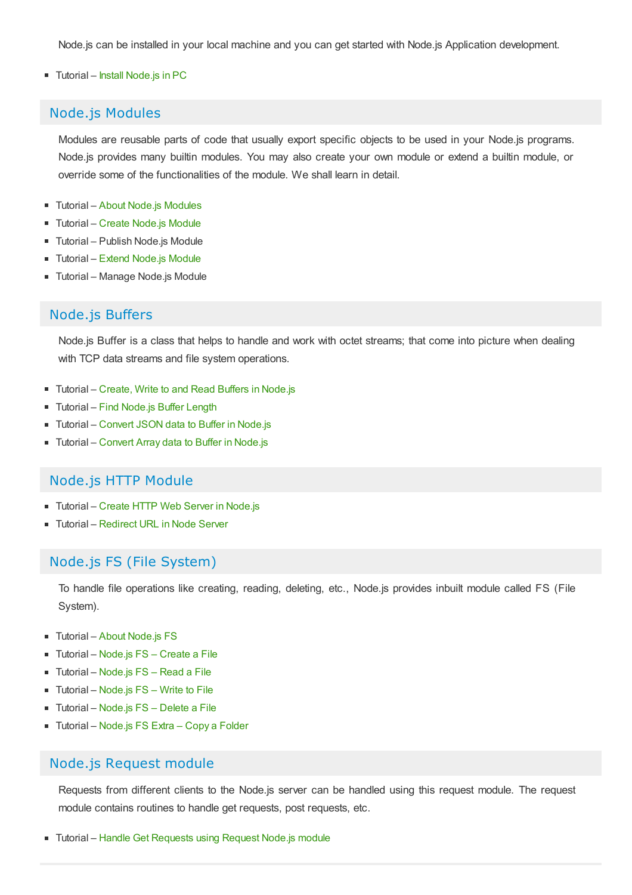Node.js can be installed in your local machine and you can get started with Node.js Application development.

#### ■ Tutorial – Install [Node.js](https://www.tutorialkart.com/nodejs/install-nodejs-instructions-for-ubuntu-windows-macos-sunos/) in PC

### Node.js Modules

Modules are reusable parts of code that usually export specific objects to be used in your Node.js programs. Node.js provides many builtin modules. You may also create your own module or extend a builtin module, or override some of the functionalities of the module. We shall learn in detail.

- Tutorial About Node.js [Modules](https://www.tutorialkart.com/nodejs/nodejs-modules/)
- Tutorial Create [Node.js](https://www.tutorialkart.com/nodejs/create-a-nodejs-module/) Module
- Tutorial Publish Node.js Module
- Tutorial Extend [Node.js](https://www.tutorialkart.com/nodejs/extend-or-add-functions-to-node-js-module/) Module
- Tutorial Manage Node.js Module

#### Node.js Buffers

Node.js Buffer is a class that helps to handle and work with octet streams; that come into picture when dealing with TCP data streams and file system operations.

- Tutorial Create, Write to and Read Buffers in [Node.js](https://www.tutorialkart.com/nodejs/node-js-buffers/)
- Tutorial Find [Node.js](https://www.tutorialkart.com/nodejs/node-js-buffer-length/) Buffer Length
- Tutorial [Convert](https://www.tutorialkart.com/nodejs/node-js-convert-json-to-buffer/) JSON data to Buffer in Node.js
- Tutorial [Convert](https://www.tutorialkart.com/nodejs/node-js-convert-array-to-buffer/) Array data to Buffer in Node.js

#### Node.js HTTP Module

- Tutorial Create HTTP Web Server in [Node.js](https://www.tutorialkart.com/nodejs/create-http-web-server-in-node-js/)
- Tutorial [Redirect](https://www.tutorialkart.com/nodejs/node-js-redirect-url/) URL in Node Server

#### Node.js FS (File System)

To handle file operations like creating, reading, deleting, etc., Node.js provides inbuilt module called FS (File System).

- Tutorial About Node.is FS
- Tutorial [Node.js](https://www.tutorialkart.com/nodejs/create-file-in-nodejs-using-node-fs-module/) FS Create a File
- Tutorial [Node.js](https://www.tutorialkart.com/nodejs/read-a-file-in-nodejs-using-fs-module/) FS Read a File
- Tutorial [Node.js](https://www.tutorialkart.com/nodejs/nodejs-write-to-file/) FS Write to File
- Tutorial [Node.js](https://www.tutorialkart.com/nodejs/delete-a-file-in-nodejs-using-node-fs/) FS Delete a File
- Tutorial [Node.js](https://www.tutorialkart.com/nodejs/node-js-copy-a-folder/) FS Extra Copy a Folder

### Node.js Request module

Requests from different clients to the Node.js server can be handled using this request module. The request module contains routines to handle get requests, post requests, etc.

■ Tutorial – Handle Get [Requests](https://www.tutorialkart.com/nodejs/handle-get-requests-using-request-node-js-module/) using Request Node.js module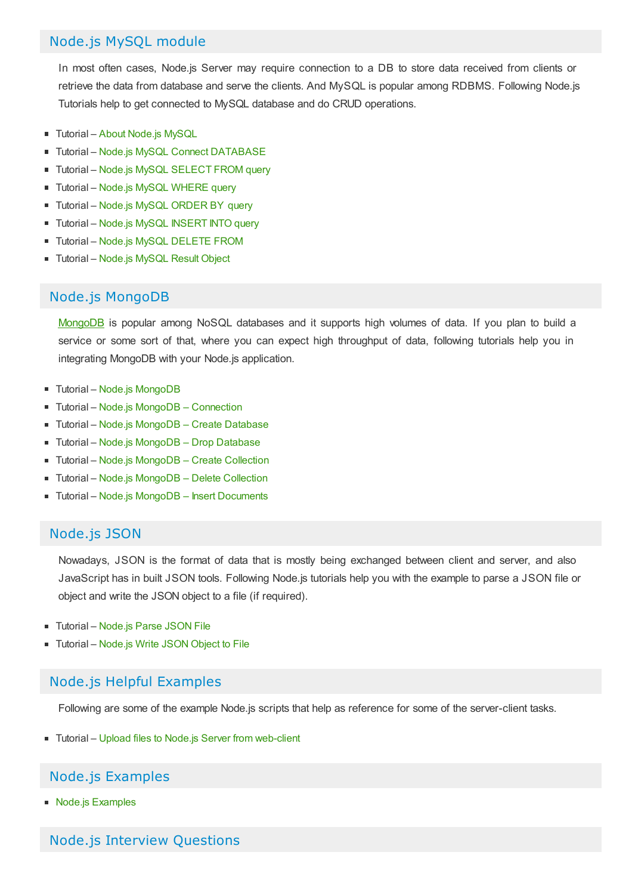# Node.js MySQL module

In most often cases, Node.js Server may require connection to a DB to store data received from clients or retrieve the data from database and serve the clients. And MySQL is popular among RDBMS. Following Node.js Tutorials help to get connected to MySQL database and do CRUD operations.

- Tutorial About [Node.js](https://www.tutorialkart.com/nodejs/nodejs-mysql/) MySQL
- **Tutorial Node.js MySQL Connect [DATABASE](https://www.tutorialkart.com/nodejs/nodejs-mysql-connect-to-database/)**
- Tutorial Node.js MySQL [SELECT](https://www.tutorialkart.com/nodejs/node-js-mysql-select-from-query-examples/) FROM query  $\blacksquare$
- Tutorial Node.js MySQL [WHERE](https://www.tutorialkart.com/nodejs/nodejs-mysql-where/) query
- Tutorial Node.js MySQL [ORDER](https://www.tutorialkart.com/nodejs/nodejs-mysql-order-by/) BY query  $\blacksquare$
- **Tutorial Node.js MySQL [INSERT](https://www.tutorialkart.com/nodejs/nodejs-mysql-insert-into/) INTO query**
- **Tutorial Node.js MySQL [DELETE](https://www.tutorialkart.com/nodejs/nodejs-mysql-delete/) FROM**
- Tutorial [Node.js](https://www.tutorialkart.com/nodejs/nodejs-mysql-result-object/) MySQL Result Object

## Node.js MongoDB

[MongoDB](https://www.tutorialkart.com/mongodb/mongodb-tutorial/) is popular among NoSQL databases and it supports high volumes of data. If you plan to build a service or some sort of that, where you can expect high throughput of data, following tutorials help you in integrating MongoDB with your Node.js application.

- Tutorial Node.js [MongoDB](https://www.tutorialkart.com/nodejs/node-js-mongodb/)
- Tutorial Node.js MongoDB [Connection](https://www.tutorialkart.com/nodejs/node-js-connect-to-mongodb/)
- Tutorial Node.js [MongoDB](https://www.tutorialkart.com/nodejs/node-js-create-database-in-mongodb/) Create Database
- Tutorial Node.js [MongoDB](https://www.tutorialkart.com/nodejs/node-js-drop-database-in-mongodb/) Drop Database п.
- Tutorial Node.js [MongoDB](https://www.tutorialkart.com/nodejs/node-js-create-collection-in-mongodb/) Create Collection
- Tutorial Node.js [MongoDB](https://www.tutorialkart.com/nodejs/node-js-delete-collection-in-mongodb/) Delete Collection
- Tutorial Node.js MongoDB Insert [Documents](https://www.tutorialkart.com/nodejs/node-js-insert-documents-to-mongodb-collection/)

# Node.js JSON

Nowadays, JSON is the format of data that is mostly being exchanged between client and server, and also JavaScript has in built JSON tools. Following Node.js tutorials help you with the example to parse a JSON file or object and write the JSON object to a file (if required).

- Tutorial [Node.js](https://www.tutorialkart.com/nodejs/nodejs-parse-json/) Parse JSON File
- Tutorial [Node.js](https://www.tutorialkart.com/nodejs/node-js-write-json-object-to-file/) Write JSON Object to File

# Node.js Helpful Examples

Following are some of the example Node.js scripts that help as reference for some of the server-client tasks.

■ Tutorial – Upload files to Node.js Server from [web-client](https://www.tutorialkart.com/nodejs/node-js-upload-file-to-server/)

# Node.js Examples

■ Node.is [Examples](https://www.tutorialkart.com/nodejs/node-js-examples/)

## Node.js Interview Questions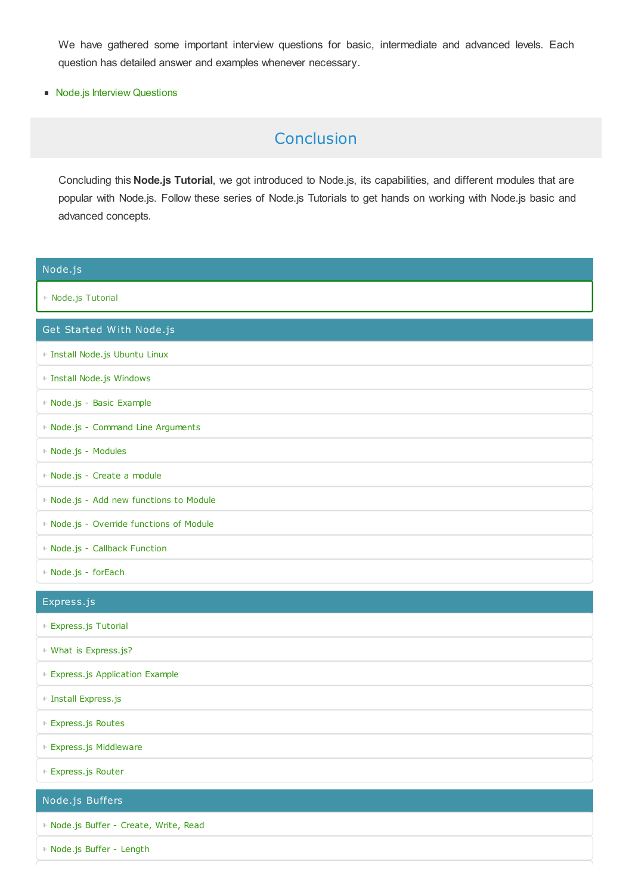We have gathered some important interview questions for basic, intermediate and advanced levels. Each question has detailed answer and examples whenever necessary.

■ Node.js Interview [Questions](https://www.tutorialkart.com/nodejs/nodejs-interview-questions/)

# Conclusion

Concluding this **Node.js Tutorial**, we got introduced to Node.js, its capabilities, and different modules that are popular with Node.js. Follow these series of Node.js Tutorials to get hands on working with Node.js basic and advanced concepts.

| Node.js                                  |
|------------------------------------------|
| ⊩ Node.js Tutorial                       |
| Get Started With Node.js                 |
| F Install Node.js Ubuntu Linux           |
| ⊩ Install Node.js Windows                |
| ⊩ Node.js - Basic Example                |
| F Node.js - Command Line Arguments       |
| ⊩ Node.js - Modules                      |
| ⊩ Node.js - Create a module              |
| ⊩ Node.js - Add new functions to Module  |
| ⊩ Node.js - Override functions of Module |
| ⊩ Node.js - Callback Function            |
| ⊩ Node.js - forEach                      |
| Express.js                               |
| ⊩ Express.js Tutorial                    |
| ⊩ What is Express.js?                    |
| Express.js Application Example           |
| ⊩ Install Express.js                     |
| ⊩ Express.js Routes                      |
| ⊩ Express.js Middleware                  |
| ⊩ Express.js Router                      |
| Node.js Buffers                          |
| ⊩ Node.js Buffer - Create, Write, Read   |
| ⊩ Node.js Buffer - Length                |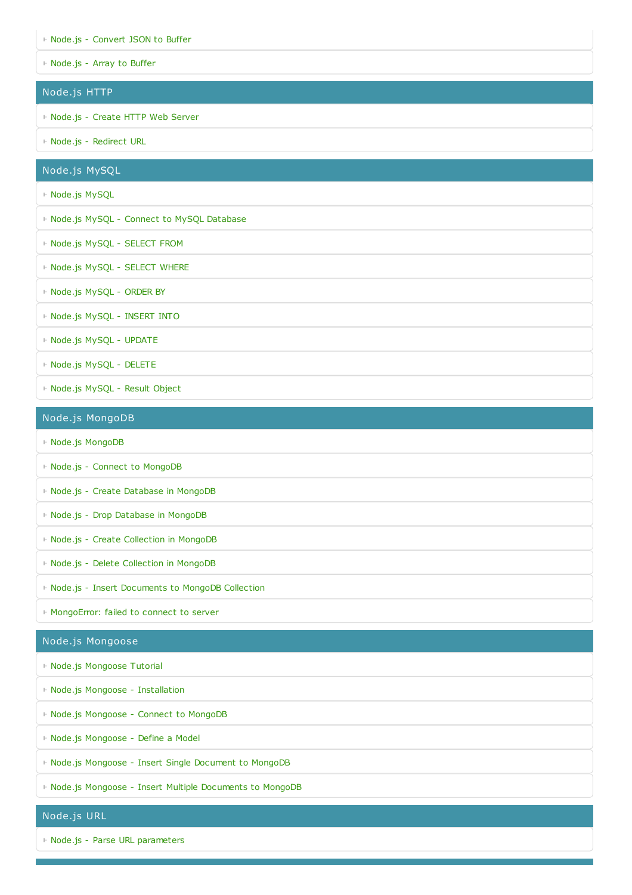- ⊩ Node.js [Convert](https://www.tutorialkart.com/nodejs/node-js-convert-json-to-buffer/) JSON to Buffer
- ⊩ [Node.js](https://www.tutorialkart.com/nodejs/node-js-convert-array-to-buffer/) Array to Buffer

#### Node.js HTTP

- ⊩ [Node.js](https://www.tutorialkart.com/nodejs/create-http-web-server-in-node-js/) Create HTTP Web Server
- ⊩ Node.js [Redirect](https://www.tutorialkart.com/nodejs/node-js-redirect-url/) URL

#### Node.js MySQL

- ⊩ [Node.js](https://www.tutorialkart.com/nodejs/nodejs-mysql/) MySQL
- ⊩ Node.js MySQL Connect to MySQL [Database](https://www.tutorialkart.com/nodejs/nodejs-mysql-connect-to-database/)
- ⊩ Node.js MySQL [SELECT](https://www.tutorialkart.com/nodejs/node-js-mysql-select-from-query-examples/) FROM
- ⊩ Node.js MySQL [SELECT](https://www.tutorialkart.com/nodejs/nodejs-mysql-where/) WHERE
- ⊩ [Node.js](https://www.tutorialkart.com/nodejs/nodejs-mysql-order-by/) MySQL ORDER BY
- ⊩ [Node.js](https://www.tutorialkart.com/nodejs/nodejs-mysql-insert-into/) MySQL INSERT INTO
- ⊩ Node.js MySQL [UPDATE](https://www.tutorialkart.com/nodejs/nodejs-mysql-update/)
- ⊩ Node.js MySQL [DELETE](https://www.tutorialkart.com/nodejs/nodejs-mysql-delete/)
- ⊩ [Node.js](https://www.tutorialkart.com/nodejs/nodejs-mysql-result-object/) MySQL Result Object

#### Node.js MongoDB

- ⊩ Node.js [MongoDB](https://www.tutorialkart.com/nodejs/node-js-mongodb/)
- ⊩ Node.js Connect to [MongoDB](https://www.tutorialkart.com/nodejs/node-js-connect-to-mongodb/)
- ⊩ Node.js Create [Database](https://www.tutorialkart.com/nodejs/node-js-create-database-in-mongodb/) in MongoDB
- ⊩ Node.js Drop [Database](https://www.tutorialkart.com/nodejs/node-js-drop-database-in-mongodb/) in MongoDB
- ⊩ Node.js Create [Collection](https://www.tutorialkart.com/nodejs/node-js-create-collection-in-mongodb/) in MongoDB
- ⊩ Node.js Delete [Collection](https://www.tutorialkart.com/nodejs/node-js-delete-collection-in-mongodb/) in MongoDB
- ⊩ Node.js Insert [Documents](https://www.tutorialkart.com/nodejs/node-js-insert-documents-to-mongodb-collection/) to MongoDB Collection
- ⊩ [MongoError:](https://www.tutorialkart.com/nodejs/mongoerror-failed-to-connect-to-server/) failed to connect to server

#### Node.js Mongoose

- ⊩ Node.js [Mongoose](https://www.tutorialkart.com/nodejs/mongoose/) Tutorial
- ⊩ Node.js Mongoose [Installation](https://www.tutorialkart.com/nodejs/mongoose/installation/)
- ⊩ Node.js [Mongoose](https://www.tutorialkart.com/nodejs/mongoose/connect-to-mongodb/) Connect to MongoDB
- ⊩ Node.js [Mongoose](https://www.tutorialkart.com/nodejs/mongoose/define-a-model/) Define a Model
- ⊩ Node.js [Mongoose](https://www.tutorialkart.com/nodejs/mongoose/insert-document-to-mongodb/) Insert Single Document to MongoDB
- ⊩ Node.js Mongoose Insert Multiple [Documents](https://www.tutorialkart.com/nodejs/mongoose/insert-multiple-documents-to-mongodb/) to MongoDB

#### Node.js URL

⊩ Node.js - Parse URL [parameters](https://www.tutorialkart.com/nodejs/split-a-url-into-readable-parts-in-node-js/)

Node.js FS (File System)